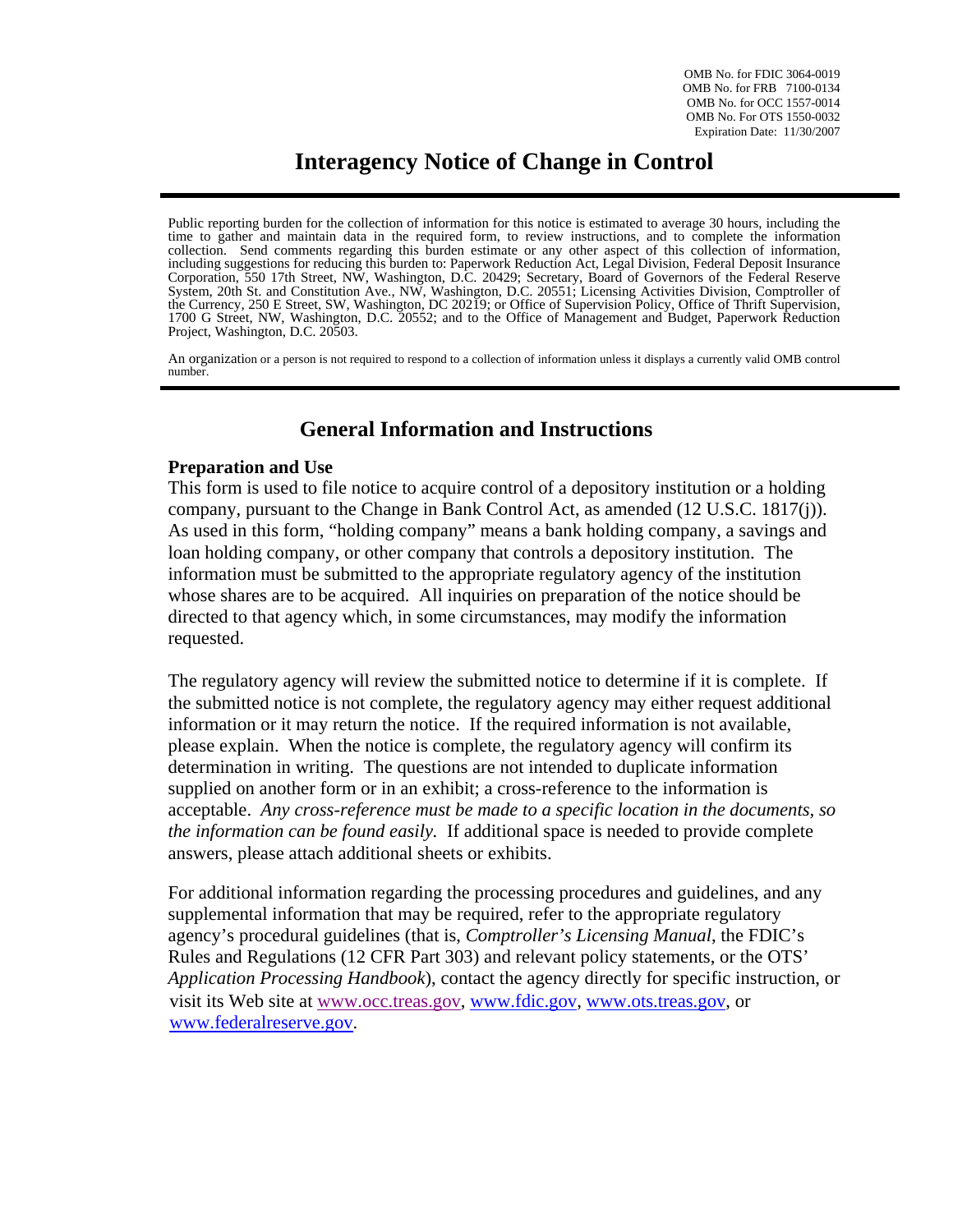OMB No. for FDIC 3064-0019 OMB No. for FRB 7100-0134 OMB No. for OCC 1557-0014 OMB No. For OTS 1550-0032 Expiration Date: 11/30/2007

# **Interagency Notice of Change in Control**

Public reporting burden for the collection of information for this notice is estimated to average 30 hours, including the time to gather and maintain data in the required form, to review instructions, and to complete the information collection. Send comments regarding this burden estimate or any other aspect of this collection of information, including suggestions for reducing this burden to: Paperwork Reduction Act, Legal Division, Federal Deposit Insurance Corporation, 550 17th Street, NW, Washington, D.C. 20429; Secretary, Board of Governors of the Federal Reserve System, 20th St. and Constitution Ave., NW, Washington, D.C. 20551; Licensing Activities Division, Comptroller of the Currency, 250 E Street, SW, Washington, DC 20219; or Office of Supervision Policy, Office of Thrift Supervision, 1700 G Street, NW, Washington, D.C. 20552; and to the Office of Management and Budget, Paperwork Reduction Project, Washington, D.C. 20503.

An organization or a person is not required to respond to a collection of information unless it displays a currently valid OMB control number.

## **General Information and Instructions**

## **Preparation and Use**

This form is used to file notice to acquire control of a depository institution or a holding company, pursuant to the Change in Bank Control Act, as amended (12 U.S.C. 1817(j)). As used in this form, "holding company" means a bank holding company, a savings and loan holding company, or other company that controls a depository institution. The information must be submitted to the appropriate regulatory agency of the institution whose shares are to be acquired. All inquiries on preparation of the notice should be directed to that agency which, in some circumstances, may modify the information requested.

The regulatory agency will review the submitted notice to determine if it is complete. If the submitted notice is not complete, the regulatory agency may either request additional information or it may return the notice. If the required information is not available, please explain. When the notice is complete, the regulatory agency will confirm its determination in writing. The questions are not intended to duplicate information supplied on another form or in an exhibit; a cross-reference to the information is acceptable. *Any cross-reference must be made to a specific location in the documents, so the information can be found easily.* If additional space is needed to provide complete answers, please attach additional sheets or exhibits.

For additional information regarding the processing procedures and guidelines, and any supplemental information that may be required, refer to the appropriate regulatory agency's procedural guidelines (that is, *Comptroller's Licensing Manual*, the FDIC's Rules and Regulations (12 CFR Part 303) and relevant policy statements, or the OTS' *Application Processing Handbook*), contact the agency directly for specific instruction, or visit its Web site at www.occ.treas.gov, www.fdic.gov, www.ots.treas.gov, or www.federalreserve.gov.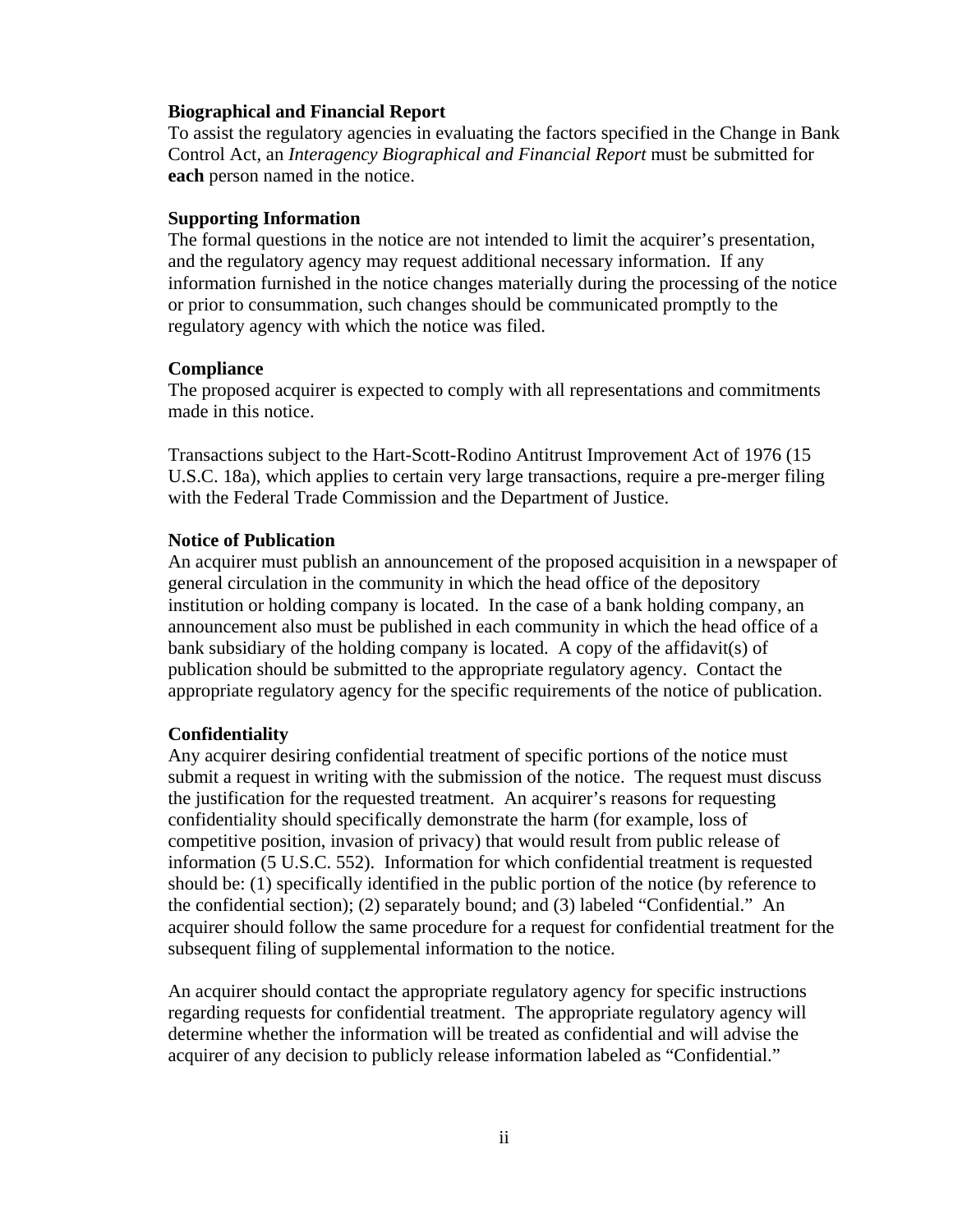#### **Biographical and Financial Report**

To assist the regulatory agencies in evaluating the factors specified in the Change in Bank Control Act, an *Interagency Biographical and Financial Report* must be submitted for **each** person named in the notice.

#### **Supporting Information**

The formal questions in the notice are not intended to limit the acquirer's presentation, and the regulatory agency may request additional necessary information. If any information furnished in the notice changes materially during the processing of the notice or prior to consummation, such changes should be communicated promptly to the regulatory agency with which the notice was filed.

#### **Compliance**

The proposed acquirer is expected to comply with all representations and commitments made in this notice.

Transactions subject to the Hart-Scott-Rodino Antitrust Improvement Act of 1976 (15 U.S.C. 18a), which applies to certain very large transactions, require a pre-merger filing with the Federal Trade Commission and the Department of Justice.

## **Notice of Publication**

An acquirer must publish an announcement of the proposed acquisition in a newspaper of general circulation in the community in which the head office of the depository institution or holding company is located. In the case of a bank holding company, an announcement also must be published in each community in which the head office of a bank subsidiary of the holding company is located. A copy of the affidavit(s) of publication should be submitted to the appropriate regulatory agency. Contact the appropriate regulatory agency for the specific requirements of the notice of publication.

#### **Confidentiality**

Any acquirer desiring confidential treatment of specific portions of the notice must submit a request in writing with the submission of the notice. The request must discuss the justification for the requested treatment. An acquirer's reasons for requesting confidentiality should specifically demonstrate the harm (for example, loss of competitive position, invasion of privacy) that would result from public release of information (5 U.S.C. 552). Information for which confidential treatment is requested should be: (1) specifically identified in the public portion of the notice (by reference to the confidential section); (2) separately bound; and (3) labeled "Confidential." An acquirer should follow the same procedure for a request for confidential treatment for the subsequent filing of supplemental information to the notice.

An acquirer should contact the appropriate regulatory agency for specific instructions regarding requests for confidential treatment. The appropriate regulatory agency will determine whether the information will be treated as confidential and will advise the acquirer of any decision to publicly release information labeled as "Confidential."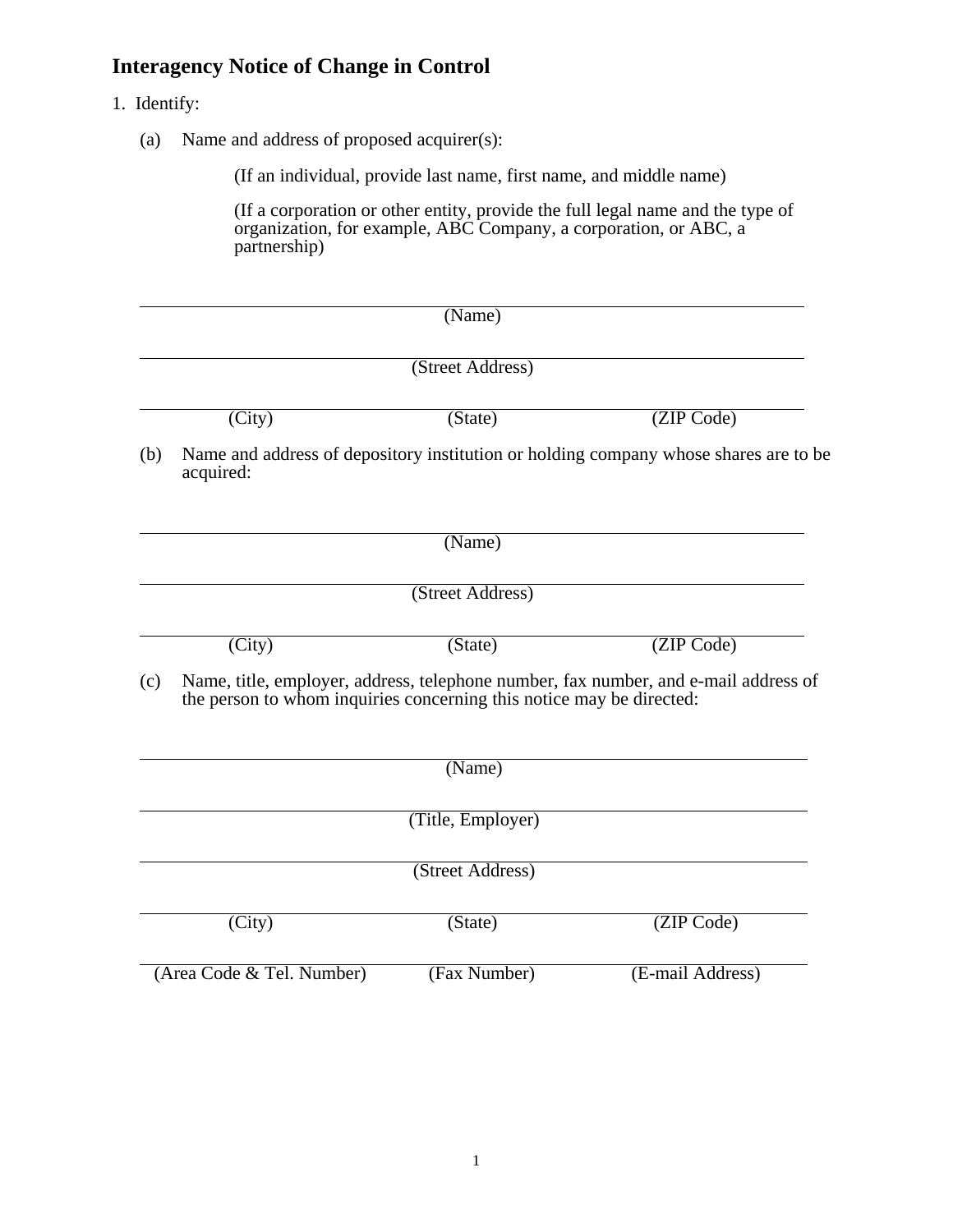## **Interagency Notice of Change in Control**

- 1. Identify:
	- (a) Name and address of proposed acquirer(s):

(If an individual, provide last name, first name, and middle name)

(If a corporation or other entity, provide the full legal name and the type of organization, for example, ABC Company, a corporation, or ABC, a partnership)

|     |                           | (Name)                                                               |                                                                                      |  |  |
|-----|---------------------------|----------------------------------------------------------------------|--------------------------------------------------------------------------------------|--|--|
|     | (Street Address)          |                                                                      |                                                                                      |  |  |
|     | (City)                    | (State)                                                              | (ZIP Code)                                                                           |  |  |
| (b) | acquired:                 |                                                                      | Name and address of depository institution or holding company whose shares are to be |  |  |
|     |                           | (Name)                                                               |                                                                                      |  |  |
|     |                           | (Street Address)                                                     |                                                                                      |  |  |
|     | (City)                    | (State)                                                              | (ZIP Code)                                                                           |  |  |
| (c) |                           | the person to whom inquiries concerning this notice may be directed: | Name, title, employer, address, telephone number, fax number, and e-mail address of  |  |  |
|     |                           | (Name)                                                               |                                                                                      |  |  |
|     |                           | (Title, Employer)                                                    |                                                                                      |  |  |
|     |                           | (Street Address)                                                     |                                                                                      |  |  |
|     | (City)                    | (State)                                                              | (ZIP Code)                                                                           |  |  |
|     | (Area Code & Tel. Number) | (Fax Number)                                                         | (E-mail Address)                                                                     |  |  |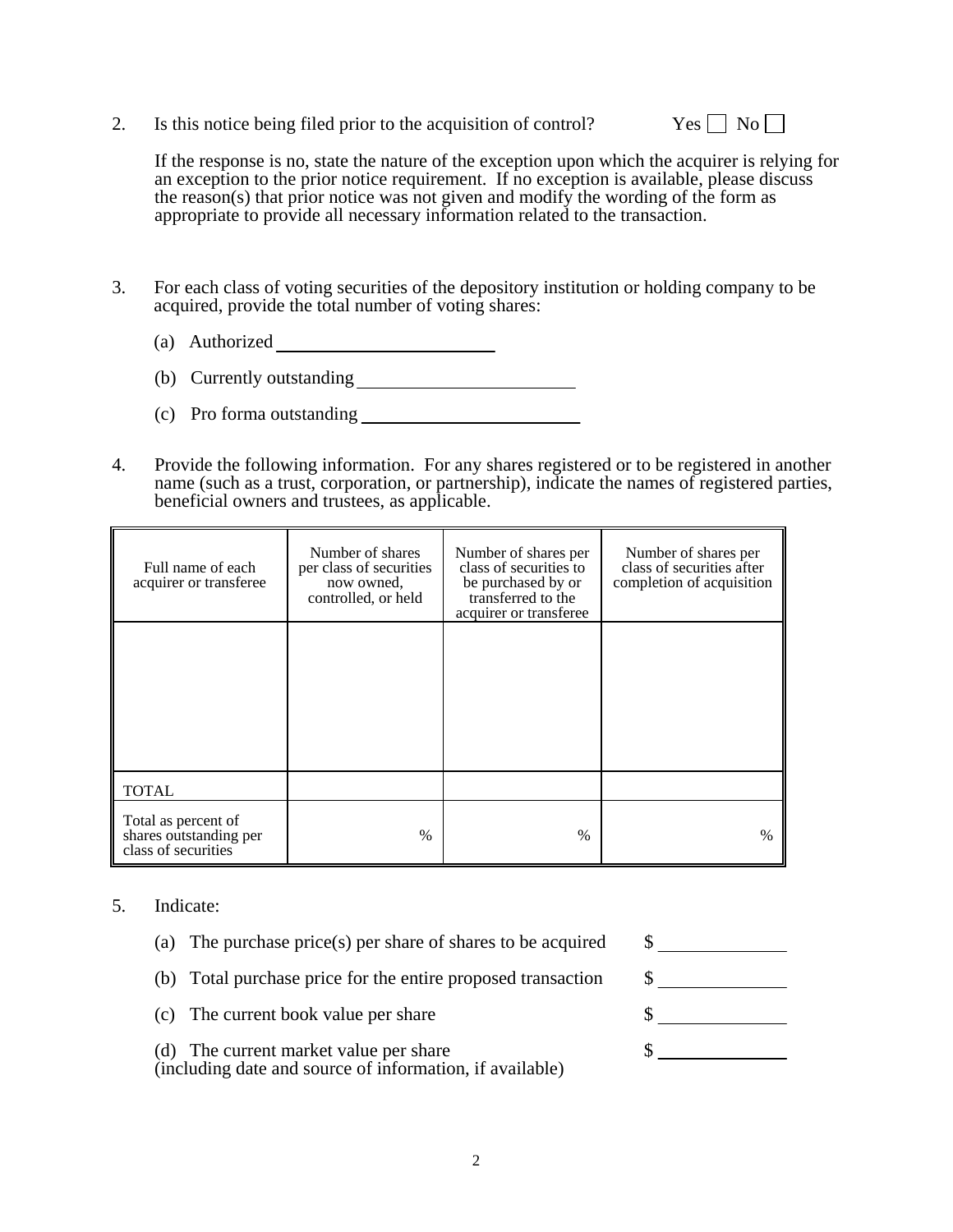2. Is this notice being filed prior to the acquisition of control? Yes  $\Box$  No  $\Box$ 



If the response is no, state the nature of the exception upon which the acquirer is relying for an exception to the prior notice requirement. If no exception is available, please discuss the reason(s) that prior notice was not given and modify the wording of the form as appropriate to provide all necessary information related to the transaction.

- 3. For each class of voting securities of the depository institution or holding company to be acquired, provide the total number of voting shares:
	- (a) Authorized
	- (b) Currently outstanding
	- (c) Pro forma outstanding
- 4. Provide the following information. For any shares registered or to be registered in another name (such as a trust, corporation, or partnership), indicate the names of registered parties, beneficial owners and trustees, as applicable.

| Full name of each<br>acquirer or transferee                          | Number of shares<br>per class of securities<br>now owned.<br>controlled, or held | Number of shares per<br>class of securities to<br>be purchased by or<br>transferred to the<br>acquirer or transferee | Number of shares per<br>class of securities after<br>completion of acquisition |
|----------------------------------------------------------------------|----------------------------------------------------------------------------------|----------------------------------------------------------------------------------------------------------------------|--------------------------------------------------------------------------------|
|                                                                      |                                                                                  |                                                                                                                      |                                                                                |
| <b>TOTAL</b>                                                         |                                                                                  |                                                                                                                      |                                                                                |
| Total as percent of<br>shares outstanding per<br>class of securities | $\frac{0}{0}$                                                                    | $\%$                                                                                                                 | $\%$                                                                           |

### 5. Indicate:

- (a) The purchase price(s) per share of shares to be acquired  $\$\$
- (b) Total purchase price for the entire proposed transaction \$
- (c) The current book value per share \$

(d) The current market value per share \$ (including date and source of information, if available)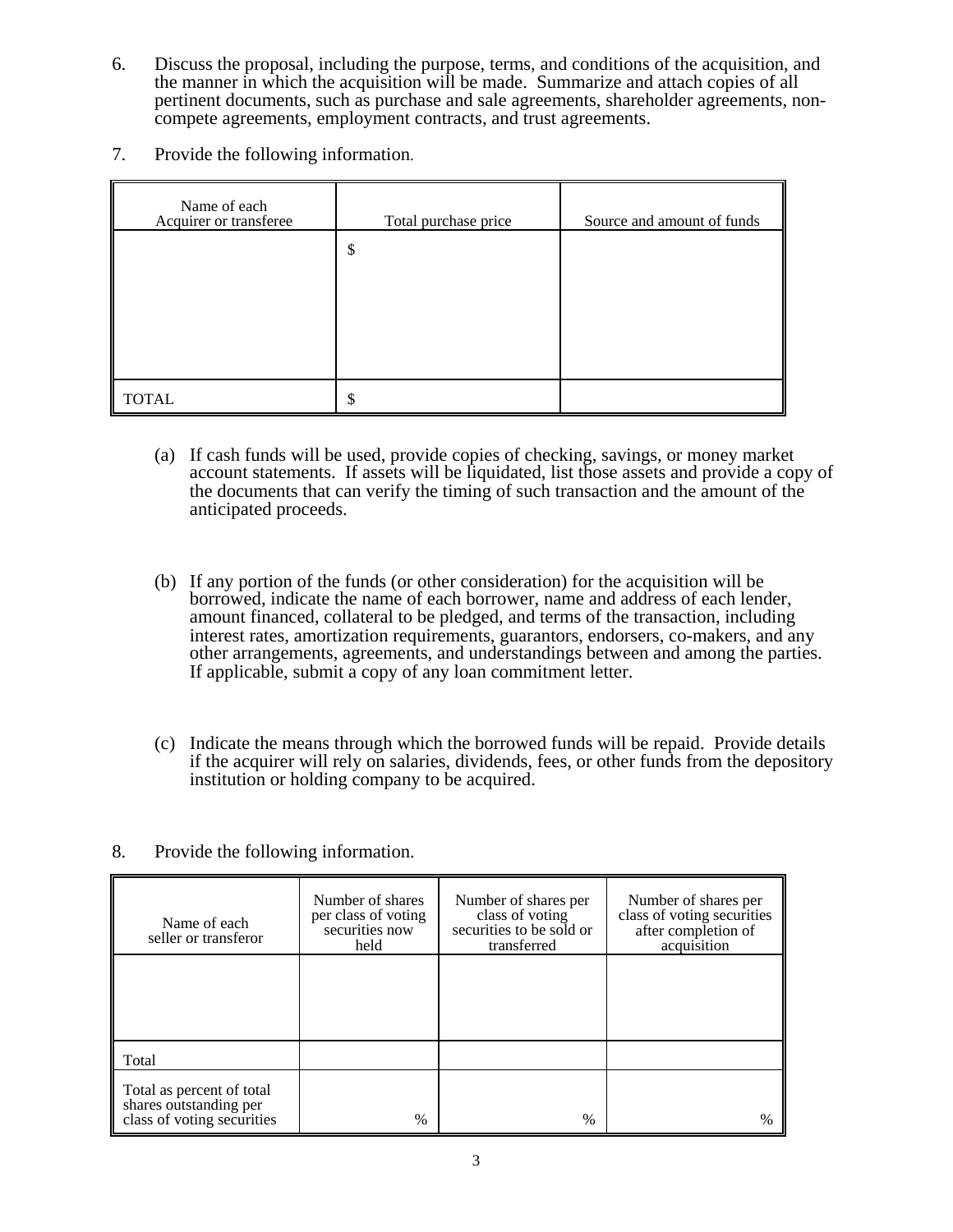- 6. Discuss the proposal, including the purpose, terms, and conditions of the acquisition, and the manner in which the acquisition will be made. Summarize and attach copies of all pertinent documents, such as purchase and sale agreements, shareholder agreements, noncompete agreements, employment contracts, and trust agreements.
- 7. Provide the following information.

| Name of each<br>Acquirer or transferee | Total purchase price | Source and amount of funds |
|----------------------------------------|----------------------|----------------------------|
|                                        | \$                   |                            |
|                                        |                      |                            |
|                                        |                      |                            |
|                                        |                      |                            |
| <b>TOTAL</b>                           | \$                   |                            |

- (a) If cash funds will be used, provide copies of checking, savings, or money market account statements. If assets will be liquidated, list those assets and provide a copy of the documents that can verify the timing of such transaction and the amount of the anticipated proceeds.
- (b) If any portion of the funds (or other consideration) for the acquisition will be borrowed, indicate the name of each borrower, name and address of each lender, amount financed, collateral to be pledged, and terms of the transaction, including interest rates, amortization requirements, guarantors, endorsers, co-makers, and any other arrangements, agreements, and understandings between and among the parties. If applicable, submit a copy of any loan commitment letter.
- (c) Indicate the means through which the borrowed funds will be repaid. Provide details if the acquirer will rely on salaries, dividends, fees, or other funds from the depository institution or holding company to be acquired.
- 8. Provide the following information.

| Name of each<br>seller or transferor                                              | Number of shares<br>per class of voting<br>securities now<br>held | Number of shares per<br>class of voting<br>securities to be sold or<br>transferred | Number of shares per<br>class of voting securities<br>after completion of<br>acquisition |
|-----------------------------------------------------------------------------------|-------------------------------------------------------------------|------------------------------------------------------------------------------------|------------------------------------------------------------------------------------------|
|                                                                                   |                                                                   |                                                                                    |                                                                                          |
| Total                                                                             |                                                                   |                                                                                    |                                                                                          |
| Total as percent of total<br>shares outstanding per<br>class of voting securities | $\frac{0}{0}$                                                     | $\%$                                                                               | $\%$                                                                                     |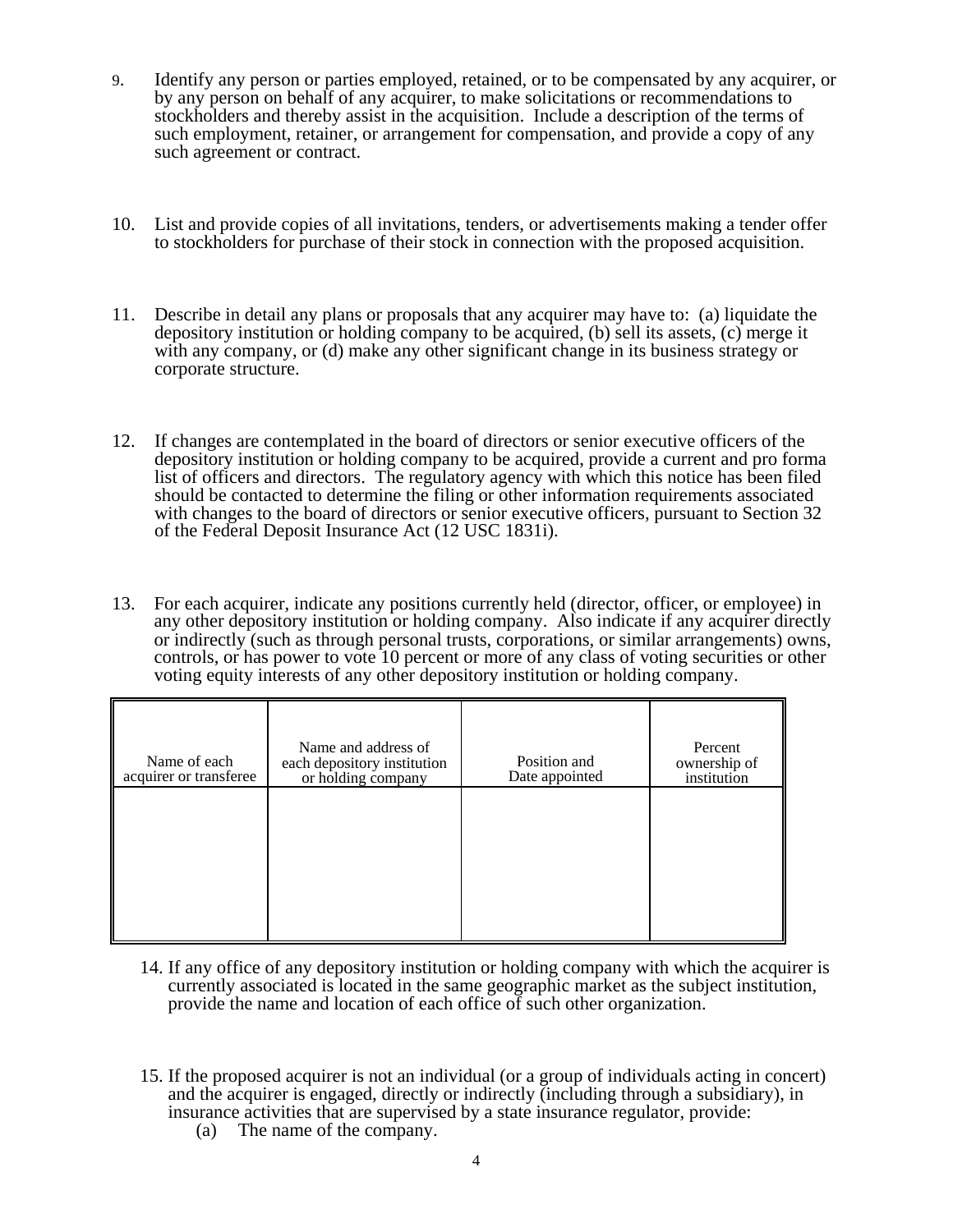- 9. Identify any person or parties employed, retained, or to be compensated by any acquirer, or by any person on behalf of any acquirer, to make solicitations or recommendations to stockholders and thereby assist in the acquisition. Include a description of the terms of such employment, retainer, or arrangement for compensation, and provide a copy of any such agreement or contract.
- 10. List and provide copies of all invitations, tenders, or advertisements making a tender offer to stockholders for purchase of their stock in connection with the proposed acquisition.
- 11. Describe in detail any plans or proposals that any acquirer may have to: (a) liquidate the depository institution or holding company to be acquired, (b) sell its assets, (c) merge it with any company, or (d) make any other significant change in its business strategy or corporate structure.
- 12. If changes are contemplated in the board of directors or senior executive officers of the depository institution or holding company to be acquired, provide a current and pro forma list of officers and directors. The regulatory agency with which this notice has been filed should be contacted to determine the filing or other information requirements associated with changes to the board of directors or senior executive officers, pursuant to Section 32 of the Federal Deposit Insurance Act (12 USC 1831i).
- 13. For each acquirer, indicate any positions currently held (director, officer, or employee) in any other depository institution or holding company. Also indicate if any acquirer directly or indirectly (such as through personal trusts, corporations, or similar arrangements) owns, controls, or has power to vote 10 percent or more of any class of voting securities or other voting equity interests of any other depository institution or holding company.

| Name of each<br>acquirer or transferee | Name and address of<br>each depository institution<br>or holding company | Position and<br>Date appointed | Percent<br>ownership of<br>institution |
|----------------------------------------|--------------------------------------------------------------------------|--------------------------------|----------------------------------------|
|                                        |                                                                          |                                |                                        |
|                                        |                                                                          |                                |                                        |

- 14. If any office of any depository institution or holding company with which the acquirer is currently associated is located in the same geographic market as the subject institution, provide the name and location of each office of such other organization.
- 15. If the proposed acquirer is not an individual (or a group of individuals acting in concert) and the acquirer is engaged, directly or indirectly (including through a subsidiary), in insurance activities that are supervised by a state insurance regulator, provide:
	- (a) The name of the company.